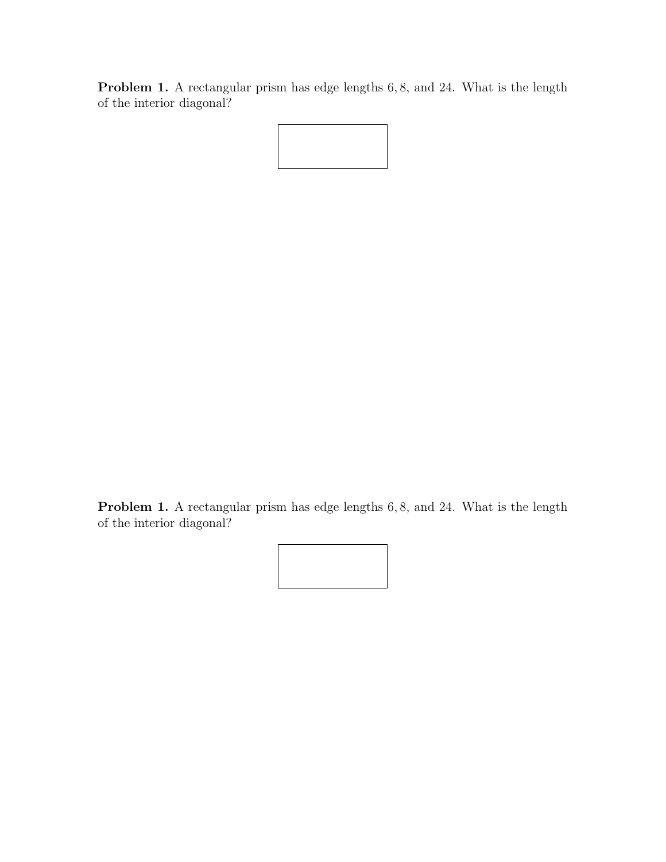Problem 1. A rectangular prism has edge lengths 6,8, and 24. What is the length of the interior diagonal?

Problem 1. A rectangular prism has edge lengths 6, 8, and 24. What is the length of the interior diagonal?

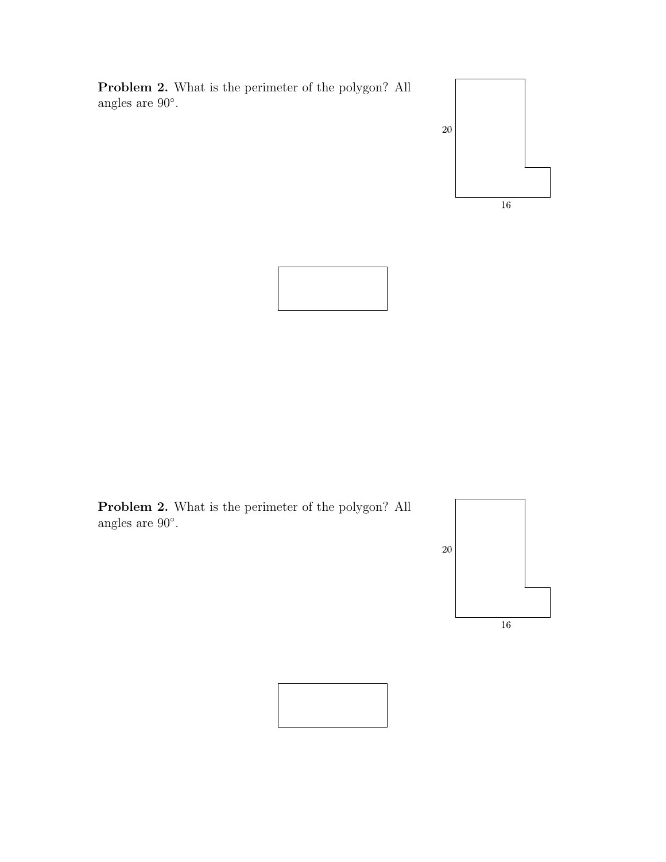Problem 2. What is the perimeter of the polygon? All angles are 90◦ .





Problem 2. What is the perimeter of the polygon? All angles are 90◦ .



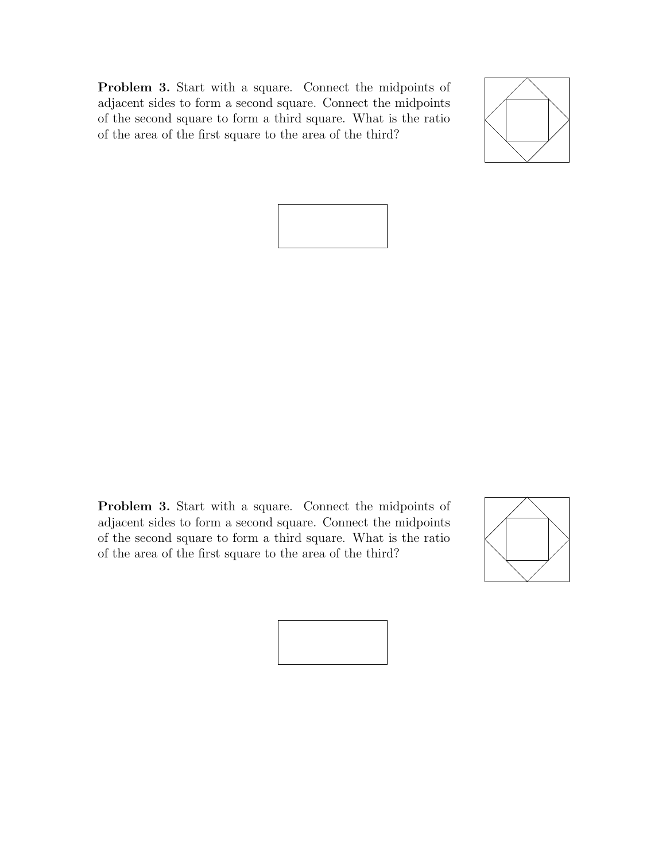Problem 3. Start with a square. Connect the midpoints of adjacent sides to form a second square. Connect the midpoints of the second square to form a third square. What is the ratio of the area of the first square to the area of the third?





Problem 3. Start with a square. Connect the midpoints of adjacent sides to form a second square. Connect the midpoints of the second square to form a third square. What is the ratio of the area of the first square to the area of the third?



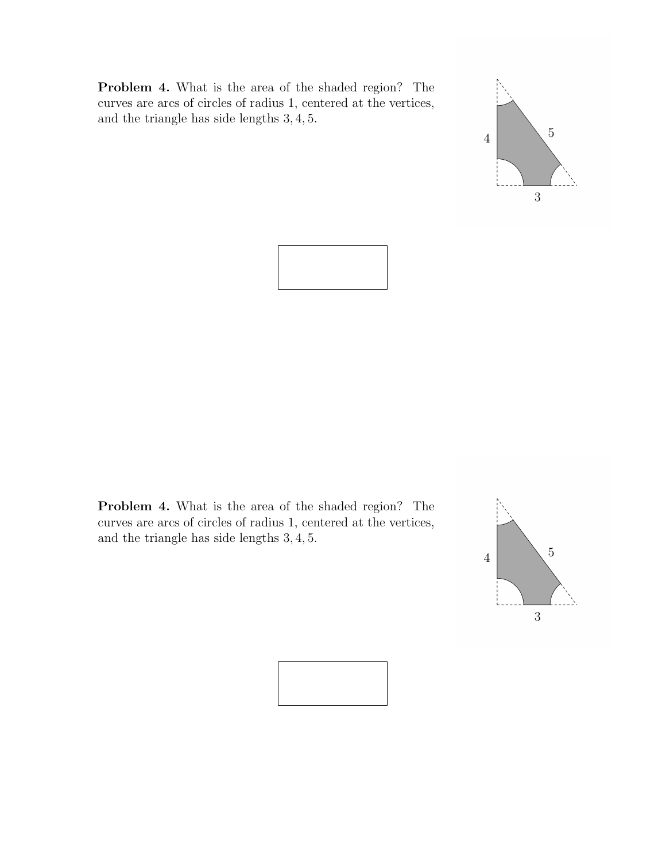Problem 4. What is the area of the shaded region? The curves are arcs of circles of radius 1, centered at the vertices, and the triangle has side lengths 3, 4, 5.





Problem 4. What is the area of the shaded region? The curves are arcs of circles of radius 1, centered at the vertices, and the triangle has side lengths 3, 4, 5.



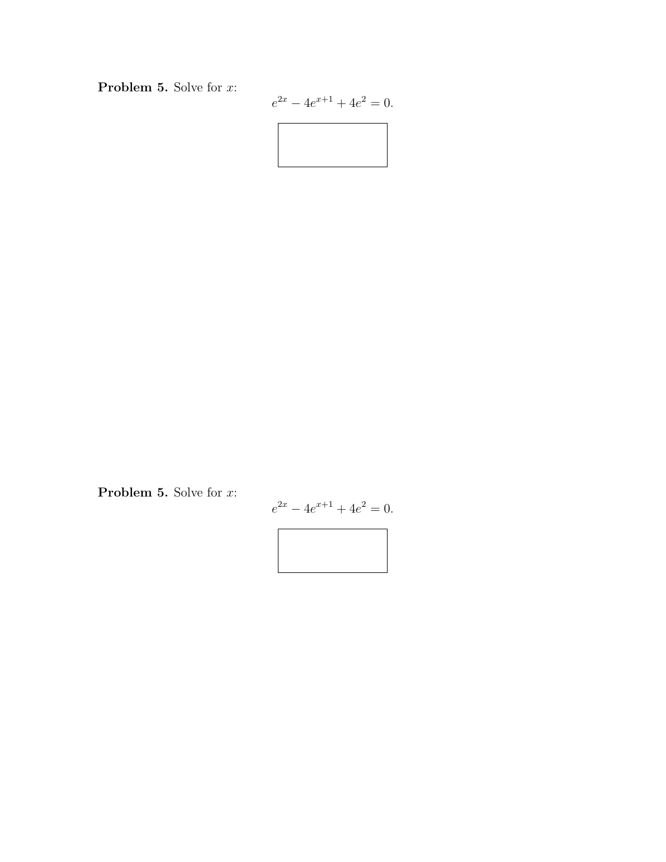Problem 5. Solve for x:

$$
e^{2x} - 4e^{x+1} + 4e^2 = 0.
$$



Problem 5. Solve for x:

$$
e^{2x} - 4e^{x+1} + 4e^2 = 0.
$$

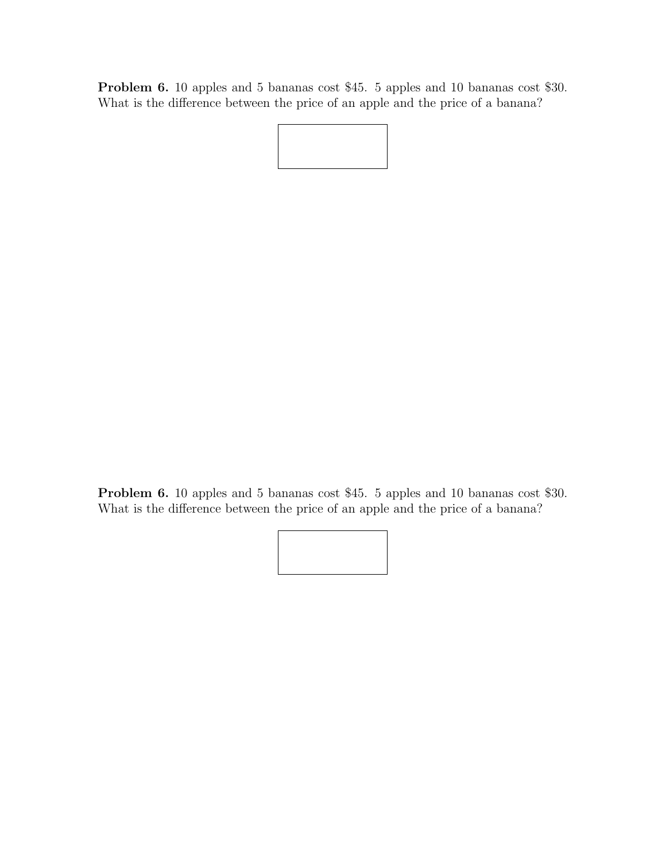Problem 6. 10 apples and 5 bananas cost \$45. 5 apples and 10 bananas cost \$30. What is the difference between the price of an apple and the price of a banana?

Problem 6. 10 apples and 5 bananas cost \$45. 5 apples and 10 bananas cost \$30. What is the difference between the price of an apple and the price of a banana?

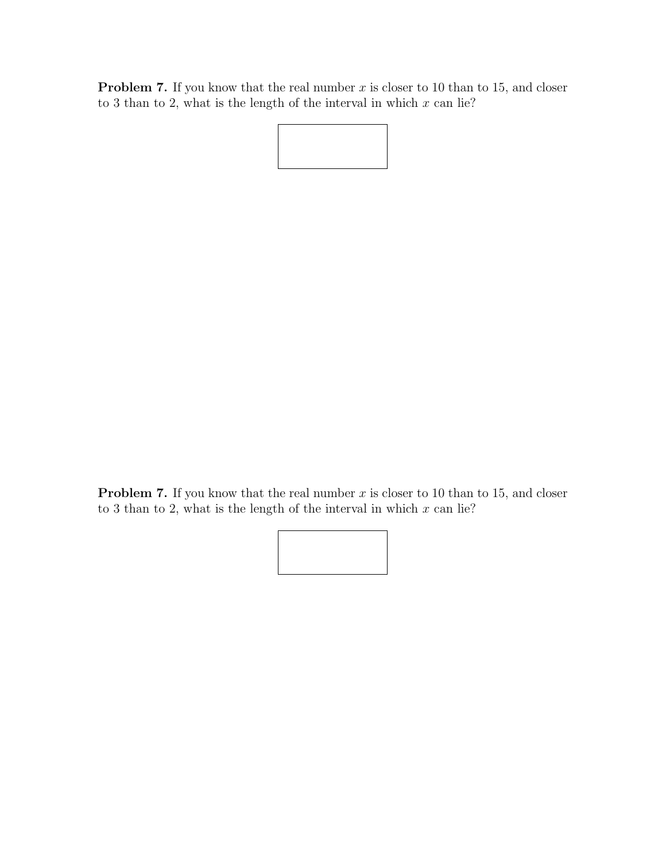**Problem 7.** If you know that the real number  $x$  is closer to 10 than to 15, and closer to 3 than to 2, what is the length of the interval in which  $x$  can lie?

**Problem 7.** If you know that the real number  $x$  is closer to 10 than to 15, and closer to 3 than to 2, what is the length of the interval in which  $x$  can lie?

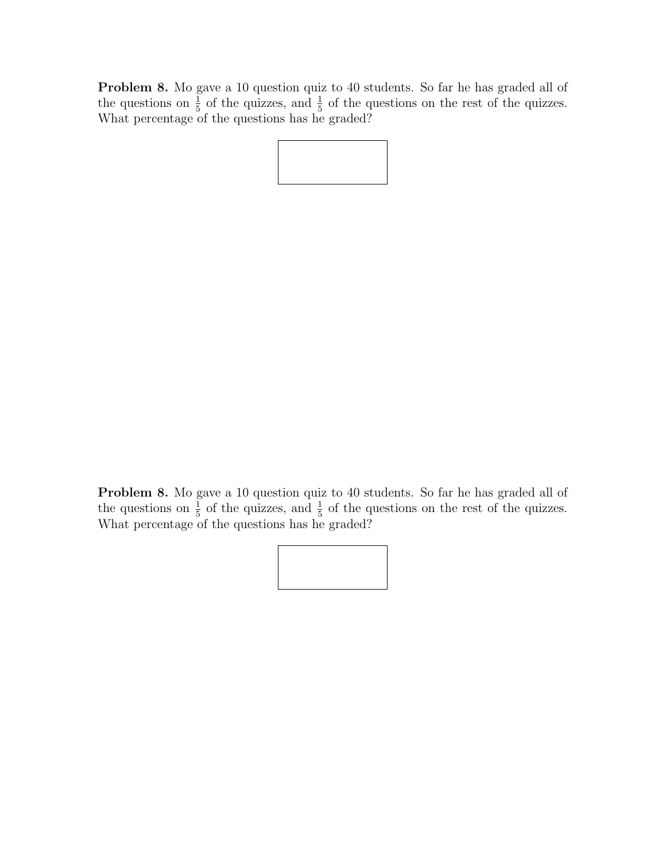Problem 8. Mo gave a 10 question quiz to 40 students. So far he has graded all of the questions on  $\frac{1}{5}$  of the quizzes, and  $\frac{1}{5}$  of the questions on the rest of the quizzes. What percentage of the questions has he graded?

Problem 8. Mo gave a 10 question quiz to 40 students. So far he has graded all of the questions on  $\frac{1}{5}$  of the quizzes, and  $\frac{1}{5}$  of the questions on the rest of the quizzes. What percentage of the questions has he graded?

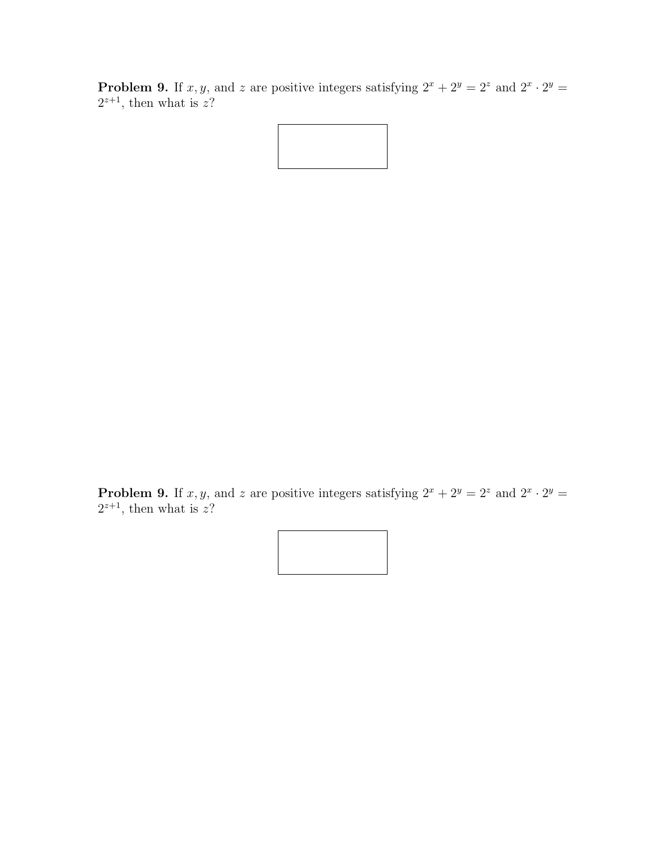**Problem 9.** If x, y, and z are positive integers satisfying  $2^x + 2^y = 2^z$  and  $2^x \cdot 2^y = 2^z$  $2^{z+1}$ , then what is z?

**Problem 9.** If x, y, and z are positive integers satisfying  $2^x + 2^y = 2^z$  and  $2^x \cdot 2^y = 2^z$  $2^{z+1}$ , then what is z?